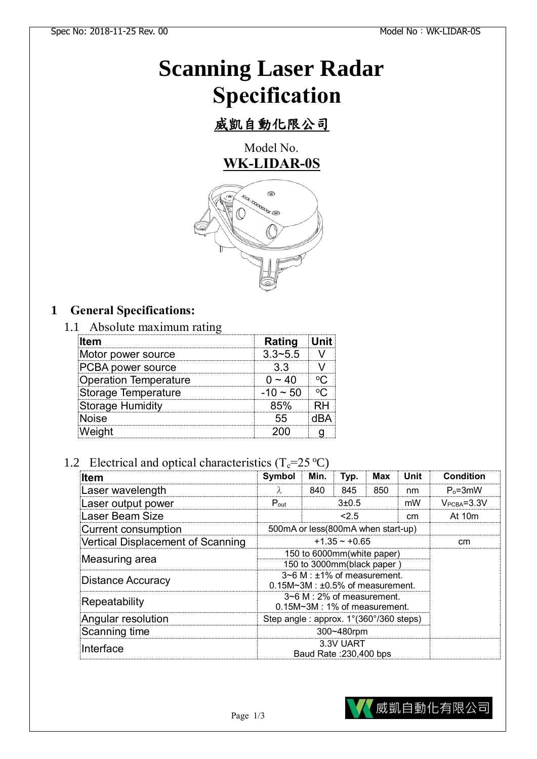# **Scanning Laser Radar Specification**

# 威凱自動化限公司

Model No. **WK-LIDAR-0S**



# **1 General Specifications:**

#### 1.1 Absolute maximum rating

| ltem                          | Rating             |  |
|-------------------------------|--------------------|--|
| Motor power source            | 3 3~5 5            |  |
| <sup>2</sup> CBA power source |                    |  |
| Operation Temperature         |                    |  |
| Storage Temperature           | $-1() \approx 5()$ |  |
| <b>Storage Humidity</b>       |                    |  |
| loise                         |                    |  |
|                               |                    |  |

# 1.2 Electrical and optical characteristics  $(T_c=25 \degree C)$

| <b>Item</b>                       | Symbol                                                                       | Min.        | Typ. | <b>Max</b> | <b>Unit</b>  | <b>Condition</b> |
|-----------------------------------|------------------------------------------------------------------------------|-------------|------|------------|--------------|------------------|
| Laser wavelength                  | $\lambda$                                                                    | 840         | 845  | 850        | nm           | $P_0 = 3mW$      |
| Laser output power                | $P_{\text{out}}$                                                             | 3±0.5<br>mW |      |            | $VPCBA=3.3V$ |                  |
| Laser Beam Size                   |                                                                              | < 2.5       |      | cm         | At $10m$     |                  |
| <b>Current consumption</b>        | 500mA or less(800mA when start-up)                                           |             |      |            |              |                  |
| Vertical Displacement of Scanning | $+1.35 - +0.65$                                                              |             |      |            | cm           |                  |
| Measuring area                    | 150 to 6000mm(white paper)<br>150 to 3000mm(black paper)                     |             |      |            |              |                  |
| <b>Distance Accuracy</b>          | 3~6 M : ±1% of measurement.<br>$0.15M \sim 3M$ : $\pm 0.5\%$ of measurement. |             |      |            |              |                  |
| Repeatability                     | $3\neg 6$ M : 2% of measurement.<br>$0.15M \sim 3M$ : 1% of measurement.     |             |      |            |              |                  |
| Angular resolution                | Step angle: approx. 1°(360°/360 steps)                                       |             |      |            |              |                  |
| Scanning time                     | 300~480rpm                                                                   |             |      |            |              |                  |
| Interface                         | 3.3V UART<br>Baud Rate: 230,400 bps                                          |             |      |            |              |                  |

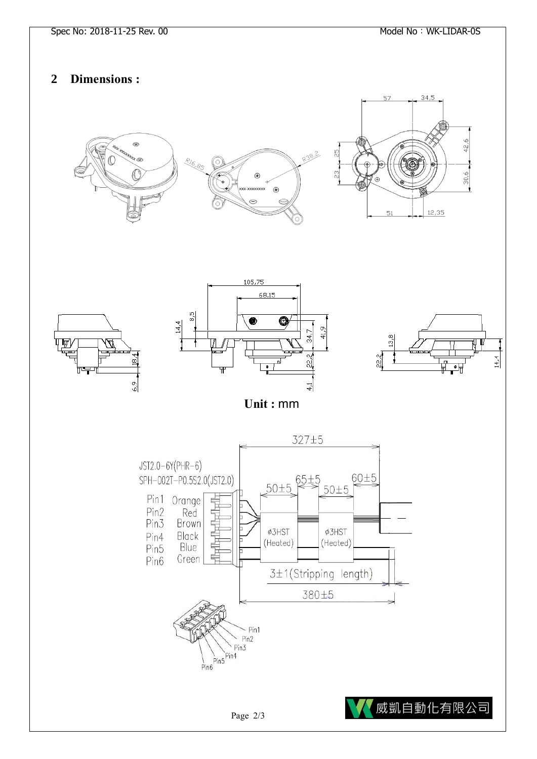### **2 Dimensions :**